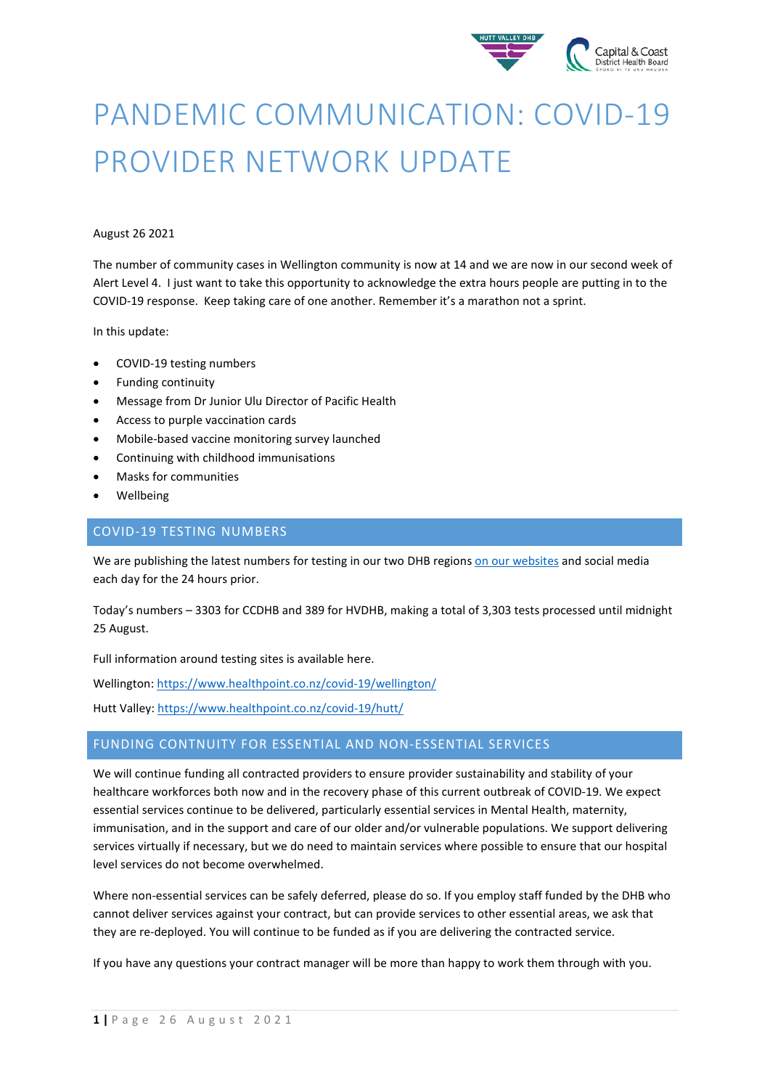

# PANDEMIC COMMUNICATION: COVID-19 PROVIDER NETWORK UPDATE

#### August 26 2021

The number of community cases in Wellington community is now at 14 and we are now in our second week of Alert Level 4. I just want to take this opportunity to acknowledge the extra hours people are putting in to the COVID-19 response. Keep taking care of one another. Remember it's a marathon not a sprint.

In this update:

- COVID-19 testing numbers
- Funding continuity
- Message from Dr Junior Ulu Director of Pacific Health
- Access to purple vaccination cards
- Mobile-based vaccine monitoring survey launched
- Continuing with childhood immunisations
- Masks for communities
- Wellbeing

#### COVID-19 TESTING NUMBERS

We are publishing the latest numbers for testing in our two DHB region[s on our websites](https://www.ccdhb.org.nz/our-services/covid-19-community-based-assessment-centres-cbacs/covid-19-testing-numbers/) and social media each day for the 24 hours prior.

Today's numbers – 3303 for CCDHB and 389 for HVDHB, making a total of 3,303 tests processed until midnight 25 August.

Full information around testing sites is available here.

Wellington[: https://www.healthpoint.co.nz/covid-19/wellington/](https://www.healthpoint.co.nz/covid-19/wellington/)

Hutt Valley:<https://www.healthpoint.co.nz/covid-19/hutt/>

## FUNDING CONTNUITY FOR ESSENTIAL AND NON-ESSENTIAL SERVICES

We will continue funding all contracted providers to ensure provider sustainability and stability of your healthcare workforces both now and in the recovery phase of this current outbreak of COVID-19. We expect essential services continue to be delivered, particularly essential services in Mental Health, maternity, immunisation, and in the support and care of our older and/or vulnerable populations. We support delivering services virtually if necessary, but we do need to maintain services where possible to ensure that our hospital level services do not become overwhelmed.

Where non-essential services can be safely deferred, please do so. If you employ staff funded by the DHB who cannot deliver services against your contract, but can provide services to other essential areas, we ask that they are re-deployed. You will continue to be funded as if you are delivering the contracted service.

If you have any questions your contract manager will be more than happy to work them through with you.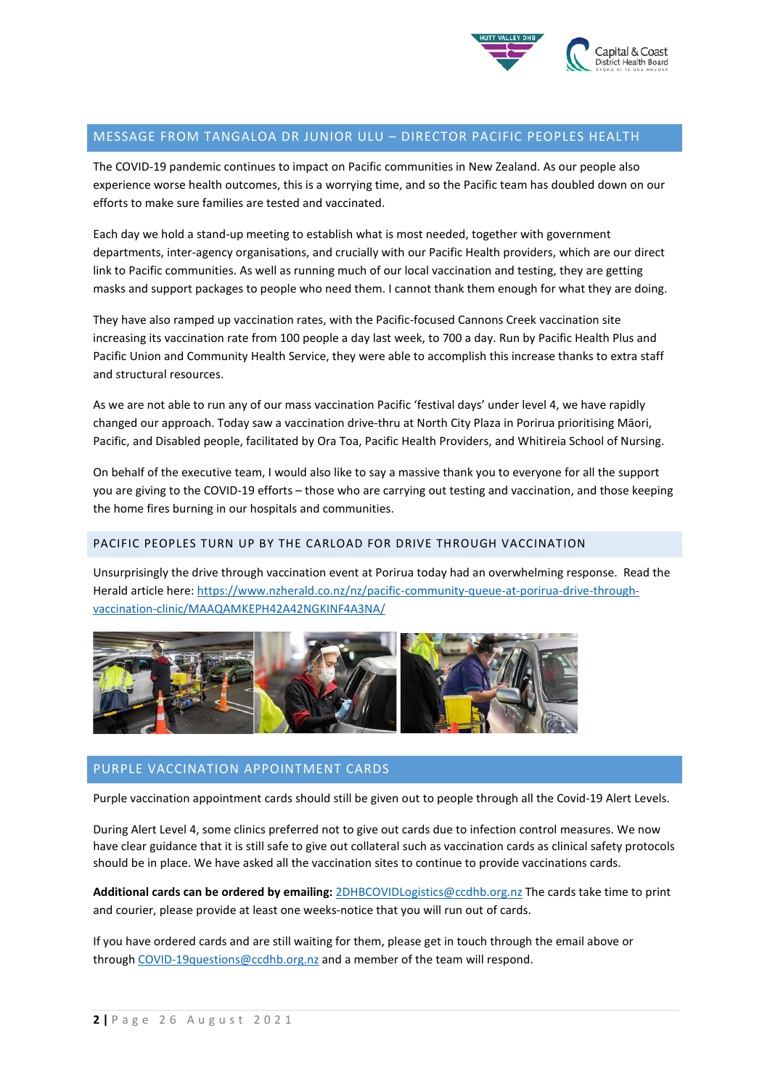

#### MESSAGE FROM TANGALOA DR JUNIOR ULU – DIRECTOR PACIFIC PEOPLES HEALTH

The COVID-19 pandemic continues to impact on Pacific communities in New Zealand. As our people also experience worse health outcomes, this is a worrying time, and so the Pacific team has doubled down on our efforts to make sure families are tested and vaccinated.

Each day we hold a stand-up meeting to establish what is most needed, together with government departments, inter-agency organisations, and crucially with our Pacific Health providers, which are our direct link to Pacific communities. As well as running much of our local vaccination and testing, they are getting masks and support packages to people who need them. I cannot thank them enough for what they are doing.

They have also ramped up vaccination rates, with the Pacific-focused Cannons Creek vaccination site increasing its vaccination rate from 100 people a day last week, to 700 a day. Run by Pacific Health Plus and Pacific Union and Community Health Service, they were able to accomplish this increase thanks to extra staff and structural resources.

As we are not able to run any of our mass vaccination Pacific 'festival days' under level 4, we have rapidly changed our approach. Today saw a vaccination drive-thru at North City Plaza in Porirua prioritising Māori, Pacific, and Disabled people, facilitated by Ora Toa, Pacific Health Providers, and Whitireia School of Nursing.

On behalf of the executive team, I would also like to say a massive thank you to everyone for all the support you are giving to the COVID-19 efforts – those who are carrying out testing and vaccination, and those keeping the home fires burning in our hospitals and communities.

#### PACIFIC PEOPLES TURN UP BY THE CARLOAD FOR DRIVE THROUGH VACCINATION

Unsurprisingly the drive through vaccination event at Porirua today had an overwhelming response. Read the Herald article here[: https://www.nzherald.co.nz/nz/pacific-community-queue-at-porirua-drive-through](https://www.nzherald.co.nz/nz/pacific-community-queue-at-porirua-drive-through-vaccination-clinic/MAAQAMKEPH42A42NGKINF4A3NA/)[vaccination-clinic/MAAQAMKEPH42A42NGKINF4A3NA/](https://www.nzherald.co.nz/nz/pacific-community-queue-at-porirua-drive-through-vaccination-clinic/MAAQAMKEPH42A42NGKINF4A3NA/)



#### PURPLE VACCINATION APPOINTMENT CARDS

Purple vaccination appointment cards should still be given out to people through all the Covid-19 Alert Levels.

During Alert Level 4, some clinics preferred not to give out cards due to infection control measures. We now have clear guidance that it is still safe to give out collateral such as vaccination cards as clinical safety protocols should be in place. We have asked all the vaccination sites to continue to provide vaccinations cards.

**Additional cards can be ordered by emailing:** [2DHBCOVIDLogistics@ccdhb.org.nz](mailto:2DHBCOVIDLogistics@ccdhb.org.nz) The cards take time to print and courier, please provide at least one weeks-notice that you will run out of cards.

If you have ordered cards and are still waiting for them, please get in touch through the email above or through [COVID-19questions@ccdhb.org.nz](mailto:COVID-19questions@ccdhb.org.nz) and a member of the team will respond.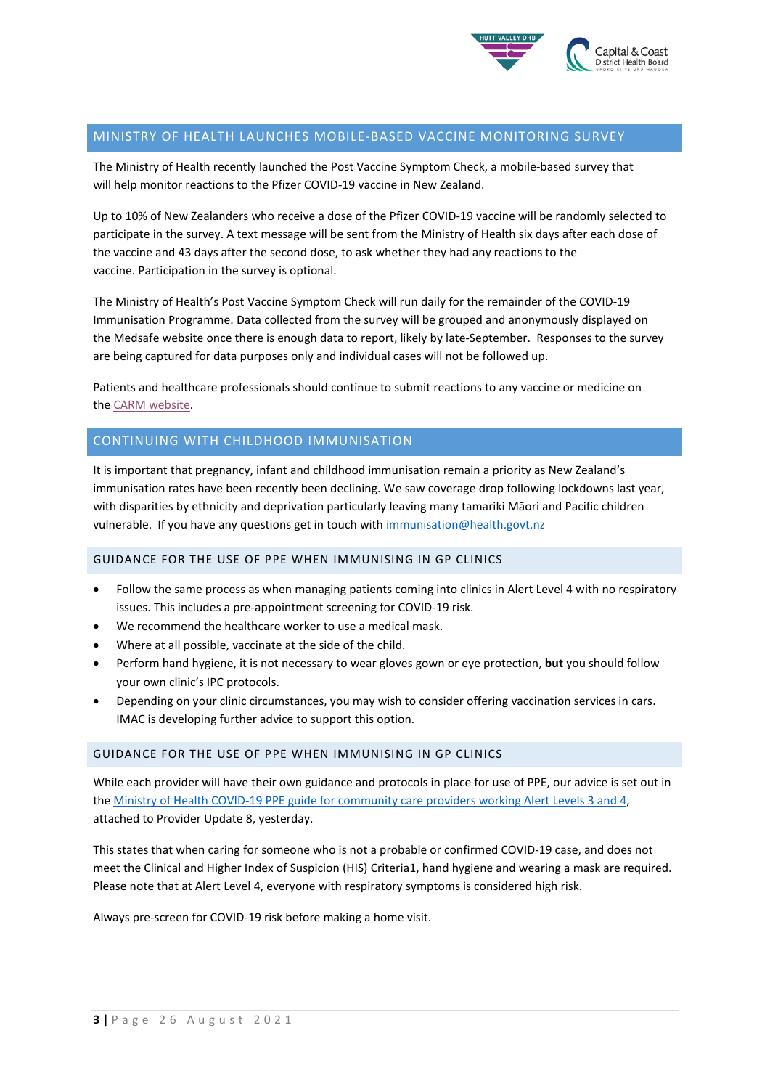

#### MINISTRY OF HEALTH LAUNCHES MOBILE-BASED VACCINE MONITORING SURVEY

The Ministry of Health recently launched the Post Vaccine Symptom Check, a mobile-based survey that will help monitor reactions to the Pfizer COVID-19 vaccine in New Zealand. 

Up to 10% of New Zealanders who receive a dose of the Pfizer COVID-19 vaccine will be randomly selected to participate in the survey. A text message will be sent from the Ministry of Health six days after each dose of the vaccine and 43 days after the second dose, to ask whether they had any reactions to the vaccine. Participation in the survey is optional.  

The Ministry of Health's Post Vaccine Symptom Check will run daily for the remainder of the COVID-19 Immunisation Programme. Data collected from the survey will be grouped and anonymously displayed on the Medsafe website once there is enough data to report, likely by late-September.  Responses to the survey are being captured for data purposes only and individual cases will not be followed up.   

Patients and healthcare professionals should continue to submit reactions to any vaccine or medicine on the [CARM website.](https://report.vaccine.covid19.govt.nz/s/)

## CONTINUING WITH CHILDHOOD IMMUNISATION

It is important that pregnancy, infant and childhood immunisation remain a priority as New Zealand's immunisation rates have been recently been declining. We saw coverage drop following lockdowns last year, with disparities by ethnicity and deprivation particularly leaving many tamariki Māori and Pacific children vulnerable. If you have any questions get in touch wit[h immunisation@health.govt.nz](mailto:immunisation@health.govt.nz)

#### GUIDANCE FOR THE USE OF PPE WHEN IMMUNISING IN GP CLINICS

- Follow the same process as when managing patients coming into clinics in Alert Level 4 with no respiratory issues. This includes a pre-appointment screening for COVID-19 risk.
- We recommend the healthcare worker to use a medical mask.
- Where at all possible, vaccinate at the side of the child.
- Perform hand hygiene, it is not necessary to wear gloves gown or eye protection, **but** you should follow your own clinic's IPC protocols.
- Depending on your clinic circumstances, you may wish to consider offering vaccination services in cars. IMAC is developing further advice to support this option.

#### GUIDANCE FOR THE USE OF PPE WHEN IMMUNISING IN GP CLINICS

While each provider will have their own guidance and protocols in place for use of PPE, our advice is set out in the [Ministry of Health COVID-19 PPE guide for community care providers working Alert Levels 3 and 4,](https://www.health.govt.nz/system/files/documents/pages/hp7716_-_personal_protective_equipment_for_community_care_providers_v2.pdf) attached to Provider Update 8, yesterday.

This states that when caring for someone who is not a probable or confirmed COVID-19 case, and does not meet the Clinical and Higher Index of Suspicion (HIS) Criteria1, hand hygiene and wearing a mask are required. Please note that at Alert Level 4, everyone with respiratory symptoms is considered high risk.

Always pre-screen for COVID-19 risk before making a home visit.